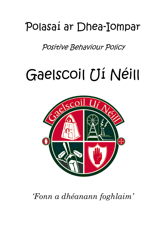# Polasaí ar Dhea-Iompar

Positive Behaviour Policy

# Gaelscoil Uí Néill



*'Fonn a dhéanann foghlaim'*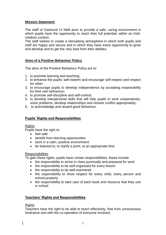# **Mission Statement**

The staff of Gaelscoil Uí Néill aims to provide a safe, caring environment in which pupils have the opportunity to reach their full potential, within an Irishmedium context.

The staff wishes to create a stimulating atmosphere in which both pupils and staff are happy and secure and in which they have every opportunity to grow and develop and to get the very best from their abilities.

# **Aims of a Positive Behaviour Policy**

The aims of the Positive Behaviour Policy are to:

- 1. to promote learning and teaching;
- 2. to enhance the pupils' self-esteem and encourage self-respect and respect for other;
- 3. to encourage pupils to develop independence by accepting responsibility for their own behaviour;
- 4. to promote self-discipline and self-control;
- 5. to develop interpersonal skills that will help pupils to work cooperatively, solve problems, develop relationships and resolve conflict appropriately;
- 6. to acknowledge and reward good behaviour.

# **Pupils' Rights and Responsibilities**

#### **Rights**

Pupils have the right to:

- feel safe
- benefit from learning opportunities
- work in a calm, positive environment
- be listened to, to clarify a point, at an appropriate time

## **Responsibilities**

To gain these rights, pupils have certain responsibilities, these include:

- the responsibility to arrive in class punctually and prepared for work
- the responsibility to be well-organised for every lesson
- the responsibility to be well-mannered
- the responsibility to show respect for every child, every person and school property
- the responsibility to take care of each book and resource that they use in school

## **Teachers' Rights and Responsibilities**

#### **Rights**

Teachers have the right to be able to teach effectively, free from unnecessary hindrance and with the co-operation of everyone involved.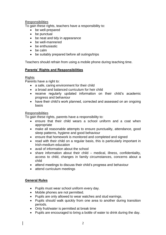# **Responsibilities**

To gain these rights, teachers have a responsibility to:

- be well-prepared
- be punctual
- be neat and tidy in appearance
- be well-mannered
- be enthusiastic
- be calm
- be suitably prepared before all outings/trips

Teachers should refrain from using a mobile phone during teaching time.

# **Parents' Rights and Responsibilities**

## **Rights**

Parents have a right to:

- a safe, caring environment for their child
- a broad and balanced curriculum for heir child
- receive regularly updated information on their child's academic progress and behaviour
- have their child's work planned, corrected and assessed on an ongoing basis

#### **Responsibilities**

To gain these rights, parents have a responsibility to:

- ensure that their child wears a school uniform and a coat when appropriate
- make all reasonable attempts to ensure punctuality, attendance, good sleep patterns, hygiene and good behaviour
- ensure that homework is monitored and completed and signed
- read with their child on a regular basis, this is particularly important in Irish-medium education
- avail of information about the school
- share information about their child medical, illness, confidentiality, access to child, changes in family circumstances, concerns about a child
- attend meetings to discuss their child's progress and behaviour
- attend curriculum meetings

## **General Rules**

- Pupils must wear school uniform every day.
- Mobile phones are not permitted.
- Pupils are only allowed to wear watches and stud earrings.
- Pupils should walk quickly from one area to another during transition periods.
- Only fruit/water is permitted at break time
- Pupils are encouraged to bring a bottle of water to drink during the day.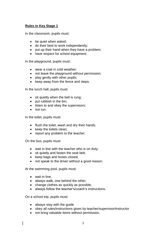# **Rules in Key Stage 1**

In the classroom, pupils must:

- be quiet when asked;
- do their best to work independently:
- put up their hand when they have a problem;
- have respect for school equipment.

In the playground, pupils must:

- wear a coat in cold weather:
- not leave the playground without permission;
- play gently with other pupils;
- $\bullet$  keep away from the fence and steps.

In the lunch hall, pupils must:

- sit quietly when the bell is rung;
- $\bullet$  put rubbish in the bin;
- listen to and obey the supervisors;
- not run.

In the toilet, pupils must:

- flush the toilet, wash and dry their hands;
- keep the toilets clean;
- report any problem to the teacher.

On the bus, pupils must:

- wait in line with the teacher who is on duty;
- sit quietly and fasten the seat belt;
- keep bags and boxes closed;
- not speak to the driver without a good reason.

At the swimming pool, pupils must:

- wait in line:
- always walk, one behind the other;
- change clothes as quickly as possible:
- always follow the teacher's/coach's instructions.

On a school trip, pupils must:

- always stay with the guide
- obey all rules/instructions given by teacher/supervisor/instructor
- not bring valuable items without permission.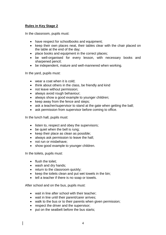# **Rules in Key Stage 2**

In the classroom, pupils must:

- have respect for schoolbooks and equipment;
- keep their own places neat, their tables clear with the chair placed on the table at the end of the day;
- place books and equipment in the correct places;
- be well-organised for every lesson, with necessary books and sharpened pencil;
- be independent, mature and well-mannered when working.

In the yard, pupils must:

- wear a coat when it is cold;
- think about others in the class, be friendly and kind
- not leave without permission:
- always avoid rough behaviour;
- always show a good example to younger children;
- keep away from the fence and steps;
- ask a teacher/supervisor to stand at the gate when getting the ball;
- ask permission from supervisor before coming to office.

In the lunch hall, pupils must:

- listen to, respect and obey the supervisors;
- be quiet when the bell is rung;
- $\bullet$  keep their place as clean as possible;
- always ask permission to leave the hall;
- not run or misbehave:
- show good example to younger children.

In the toilets, pupils must:

- flush the toilet:
- wash and dry hands;
- return to the classroom quickly;
- $\bullet$  keep the toilets clean and put wet towels in the bin;
- tell a teacher if there is no soap or towels.

After school and on the bus, pupils must:

- wait in line after school with their teacher;
- wait in line until their parent/carer arrives;
- walk to the bus or to their parents when given permission;
- respect the driver and the supervisor;
- put on the seatbelt before the bus starts: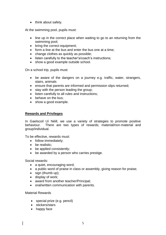• think about safety.

At the swimming pool, pupils must:

- line up in the correct place when waiting to go to an returning from the swimming pool;
- bring the correct equipment;
- form a line at the bus and enter the bus one at a time;
- change clothes as quickly as possible;
- listen carefully to the teacher's/coach's instructions;
- show a good example outside school.

On a school trip, pupils must:

- be aware of the dangers on a journey e.g. traffic, water, strangers, stairs, animals
- ensure that parents are informed and permission slips returned;
- stay with the person leading the group;
- listen carefully to all rules and instructions;
- behave on the bus:
- show a good example.

# **Rewards and Privileges**

In Gaelscoil Uí Néill, we use a variety of strategies to promote positive behaviour. There are two types of rewards; material/non-material and group/individual.

To be effective, rewards must:

- follow immediately;
- be realistic:
- be applied consistently;
- be awarded by a person who carries prestige.

Social rewards:

- a quiet, encouraging word;
- a public word of praise in class or assembly, giving reason for praise;
- sign (thumb up):
- display of work:
- award from another teacher/Principal;
- oral/written communication with parents.

## Material Rewards

- special prize (e.g. pencil)
- stickers/stars
- happy face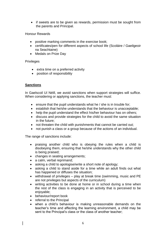• if sweets are to be given as rewards, permission must be sought from the parents and Principal.

Honour Rewards

- positive marking comments in the exercise book;
- certificates/pen for different aspects of school life (Scoláire / Gaeilgeoir na Seachtaine)
- Medals on Prize Day

# Privileges

- extra time on a preferred activity
- position of responsibility

# **Sanctions**

In Gaelscoil Uí Néill, we avoid sanctions when support strategies will suffice. When considering or applying sanctions, the teacher must:

- $\bullet$  ensure that the pupil understands what he / she is in trouble for;
- establish that he/she understands that the behaviour is unacceptable;
- help the pupil understand the effect his/her behaviour has on others;
- discuss and provide strategies for the child to avoid the same situation in the future;
- not threaten the child with punishments that cannot be carried out;
- not punish a class or a group because of the actions of an individual.

The range of sanctions include:

- praising another child who is obeying the rules when a child is disobeying them, ensuring that he/she understands why the other child is being praised;
- changes in seating arrangements;
- a calm, verbal reprimand;
- asking a child to apologise/write a short note of apology;
- asking a child to stand aside for a time while an adult finds out what has happened or diffuses the situation;
- withdrawal of privileges play at break time (swimming, music and PE are not privileges but aspects of the curriculum)
- writing activities to be done at home or in school during a time when the rest of the class is engaging in an activity that is perceived to be enjoyable;
- behaviour/report book
- referral to the Principal
- when a child's behaviour is making unreasonable demands on the teacher's time and affecting the learning environment, a child may be sent to the Principal's class or the class of another teacher;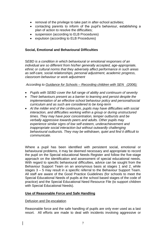- removal of the privilege to take part in after-school activities;
- contacting parents to inform of the pupil's behaviour, establishing a plan of action to resolve the difficulties;
- suspension (according to ELB Procedures)
- expulsion (according to ELB Procedures)

# **Social, Emotional and Behavioural Difficulties**

S*EBD is a condition in which behavioural or emotional responses of an individual are so different from his/her generally accepted, age-appropriate, ethnic or cultural norms that they adversely affect performance in such areas as self-care, social relationships, personal adjustment, academic progress, classroom behaviour or work adjustment*

*According to Guidance for Schools – Recording children with SEN (2006);*

- *Pupils with SEBD cover the full range of ability and continuum of severity*
- *Their behaviours present as a barrier to learning and persist despite the implementation of an effective school behaviour policy and personal/social curriculum and as such are considered to be long-term*
- *At the milder end of the continuum, pupils may have difficulties with social interaction, and difficulties working within a group or during unstructured times. They may have poor concentration, temper outbursts and be verbally aggressive towards peers and adults. Other pupils may experience similar signs of low self-esteem, underachievement and inappropriate social interaction but without outwardly challenging behavioural outbursts. They may be withdrawn, quiet and find it difficult to communicate.*

Where a pupil has been identified with persistent social, emotional or behavioural problems, it may be deemed necessary and appropriate to record the pupil on the Special educational Needs Register and follow the five-stage approach on the identification and assessment of special educational needs. With regard to specific behavioural difficulties, advice can be sought from the Behaviour Support Team on an anonymous basis at stages 1 and 2, while stages 3 – 5 may result in a specific referral to the Behaviour Support Team. All staff are aware of the Good Practice Guidelines (for schools to meet the Special Educational Needs of pupils at the school based stages of the code of practice) and the Special Educational Need Resource File (to support children with Special Educational Needs).

## **Use of Reasonable Force and Safe Handling**

#### Defusion and De-escalation

Reasonable force and the safe handling of pupils are only ever used as a last resort. All efforts are made to deal with incidents involving aggressive or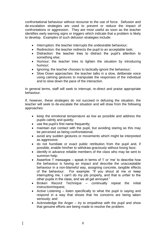confrontational behaviour without recourse to the use of force. Defusion and de-escalation strategies are used to prevent or reduce the impact of confrontations or aggression. They are most useful as soon as the teacher identifies early warning signs or triggers which indicate that a problem is likely to develop. Examples of such defusion strategies include:

- Interruption: the teacher interrupts the undesirable behaviour:
- Redirection: the teacher redirects the pupil to an acceptable task;
- Distraction: the teacher tries to distract the pupil's attention to something else;
- Humour; the teacher tries to lighten the situation by introducing humour;
- Ignoring; the teacher chooses to tactically ignore the behaviour;
- Slow Down approaches: the teacher talks in a slow, deliberate voice using calming gestures to manipulate the responses of the individual and to slow down the pace of the interaction.

In general terms, staff will seek to interrupt, re-direct and praise appropriate behaviour.

If, however, these strategies do not succeed in defusing the situation, the teacher will seek to de-escalate the situation and will draw from the following approaches:

- keep the emotional temperature as low as possible and address the pupils calmly and quietly;
- use the pupil's first name frequently;
- maintain eye contact with the pupil, but avoiding staring as this may be perceived as being confrontational;
- avoid any sudden gestures or movements which might be interpreted as aggressive;
- do not humiliate or exact public retribution from the pupil and, if possible, enable him/her to withdraw graciously without losing face;
- identify in advance reliable members of the class who may be sent to summon help;
- Assertive 'I' messages speak in terms of 'I' or 'me' to describe how the behaviour is having an impact and describe the unacceptable behaviour in a non-blameful way, assigning concrete, tangible effects of the behaviour. For example: "If you shout at me or keep interrupting me, I can't do my job properly, and that is unfair to the other pupils in the class, and we all get annoyed."
- Broken Record Technique continually repeat the initial instruction/request;
- Active Listening listen specifically to what the pupil is saying and respond in a way that shows that his concerns are being taken seriously; and
- Acknowledge the Anger  $-$  try to empathise with the pupil and show that genuine efforts are being made to resolve the problem.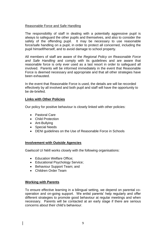# Reasonable Force and Safe Handling

The responsibility of staff in dealing with a potentially aggressive pupil is always to safeguard the other pupils and themselves, and also to consider the safety of the offending pupil. It may be necessary to use reasonable force/safe handling on a pupil, in order to protect all concerned, including the pupil himself/herself, and to avoid damage to school property.

All members of staff are aware of the *Regional Policy on Reasonable Force and Safe Handling* and comply with its guidelines and are aware that reasonable force is only ever used as a last resort in order to safeguard all involved. Parents will be informed immediately in the event that Reasonable Force is deemed necessary and appropriate and that all other strategies have been exhausted.

In the event that Reasonable Force is used, the details are will be recorded effectively by all involved and both pupil and staff will have the opportunity to be de-briefed.

# **Links with Other Policies**

Our policy for positive behaviour is closely linked with other policies:

- Pastoral Care
- Child Protection
- Ant-Bullying
- Special Needs
- DENI guidelines on the Use of Reasonable Force in Schools

## **Involvement with Outside Agencies**

Gaelscoil Uí Néill works closely with the following organisations:

- Education Welfare Office:
- Educational Psychology Service;
- Behaviour Support Team; and
- Children Order Team

## **Working with Parents**

To ensure effective learning in a bilingual setting, we depend on parental cooperation and on-going support. We enlist parents' help regularly and offer different strategies to promote good behaviour at regular meetings and when necessary. Parents will be contacted at an early stage if there are serious concerns about their child's behaviour.